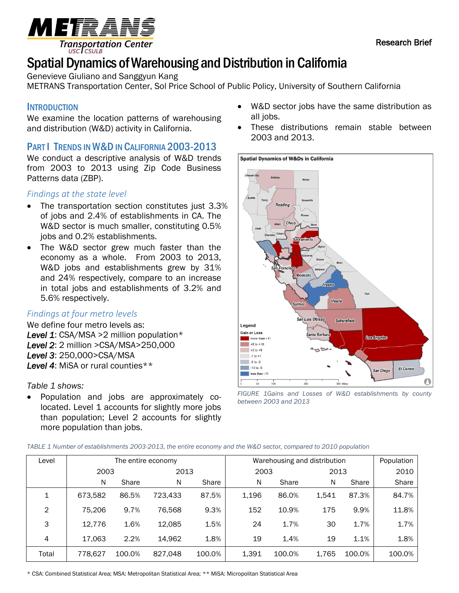Research Brief



# Spatial Dynamics of Warehousing and Distribution in California

Genevieve Giuliano and Sanggyun Kang

METRANS Transportation Center, Sol Price School of Public Policy, University of Southern California

# **INTRODUCTION**

We examine the location patterns of warehousing and distribution (W&D) activity in California.

# PART | TRENDS IN W&D IN CALIFORNIA 2003-2013

We conduct a descriptive analysis of W&D trends from 2003 to 2013 using Zip Code Business Patterns data (ZBP).

## *Findings at the state level*

- The transportation section constitutes just 3.3% of jobs and 2.4% of establishments in CA. The W&D sector is much smaller, constituting 0.5% jobs and 0.2% establishments.
- The W&D sector grew much faster than the economy as a whole. From 2003 to 2013, W&D jobs and establishments grew by 31% and 24% respectively, compare to an increase in total jobs and establishments of 3.2% and 5.6% respectively.

## *Findings at four metro levels*

We define four metro levels as: *Level 1*: CSA/MSA >2 million population\* *Level 2*: 2 million >CSA/MSA>250,000 *Level 3*: 250,000>CSA/MSA *Level 4*: MiSA or rural counties\*\*

## *Table 1 shows:*

• Population and jobs are approximately colocated. Level 1 accounts for slightly more jobs than population; Level 2 accounts for slightly more population than jobs.

- W&D sector jobs have the same distribution as all jobs.
- These distributions remain stable between 2003 and 2013.





| Level        | The entire economy |        |         |        | Warehousing and distribution |        |       |        | Population |
|--------------|--------------------|--------|---------|--------|------------------------------|--------|-------|--------|------------|
|              | 2003               |        | 2013    |        | 2003                         |        | 2013  |        | 2010       |
|              | N                  | Share  | N       | Share  | N                            | Share  | N     | Share  | Share      |
| $\mathbf{1}$ | 673,582            | 86.5%  | 723.433 | 87.5%  | 1,196                        | 86.0%  | 1,541 | 87.3%  | 84.7%      |
| $\mathbf{2}$ | 75.206             | 9.7%   | 76,568  | 9.3%   | 152                          | 10.9%  | 175   | 9.9%   | 11.8%      |
| 3            | 12,776             | 1.6%   | 12,085  | 1.5%   | 24                           | 1.7%   | 30    | 1.7%   | 1.7%       |
| 4            | 17,063             | 2.2%   | 14.962  | 1.8%   | 19                           | 1.4%   | 19    | 1.1%   | 1.8%       |
| Total        | 778.627            | 100.0% | 827,048 | 100.0% | 1,391                        | 100.0% | 1,765 | 100.0% | 100.0%     |

\* CSA: Combined Statistical Area; MSA: Metropolitan Statistical Area; \*\* MiSA: Micropolitan Statistical Area